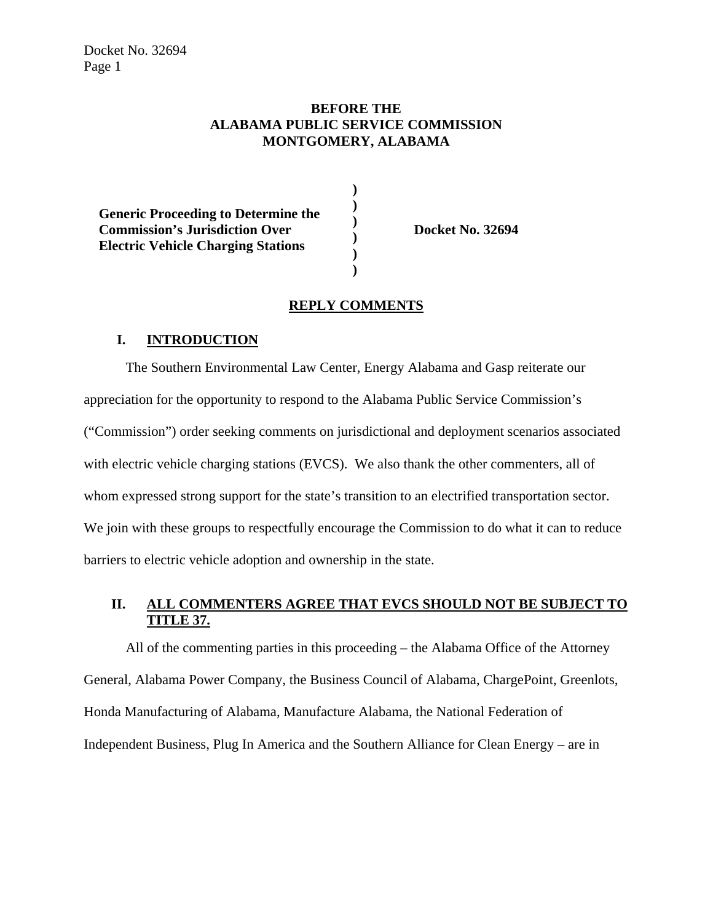## **BEFORE THE ALABAMA PUBLIC SERVICE COMMISSION MONTGOMERY, ALABAMA**

**) ) ) ) ) )** 

| <b>Generic Proceeding to Determine the</b> |
|--------------------------------------------|
| <b>Commission's Jurisdiction Over</b>      |
| <b>Electric Vehicle Charging Stations</b>  |
|                                            |

**Docket No. 32694** 

### **REPLY COMMENTS**

#### **I. INTRODUCTION**

The Southern Environmental Law Center, Energy Alabama and Gasp reiterate our appreciation for the opportunity to respond to the Alabama Public Service Commission's ("Commission") order seeking comments on jurisdictional and deployment scenarios associated with electric vehicle charging stations (EVCS). We also thank the other commenters, all of whom expressed strong support for the state's transition to an electrified transportation sector. We join with these groups to respectfully encourage the Commission to do what it can to reduce barriers to electric vehicle adoption and ownership in the state.

# **II. ALL COMMENTERS AGREE THAT EVCS SHOULD NOT BE SUBJECT TO TITLE 37.**

All of the commenting parties in this proceeding – the Alabama Office of the Attorney General, Alabama Power Company, the Business Council of Alabama, ChargePoint, Greenlots, Honda Manufacturing of Alabama, Manufacture Alabama, the National Federation of Independent Business, Plug In America and the Southern Alliance for Clean Energy – are in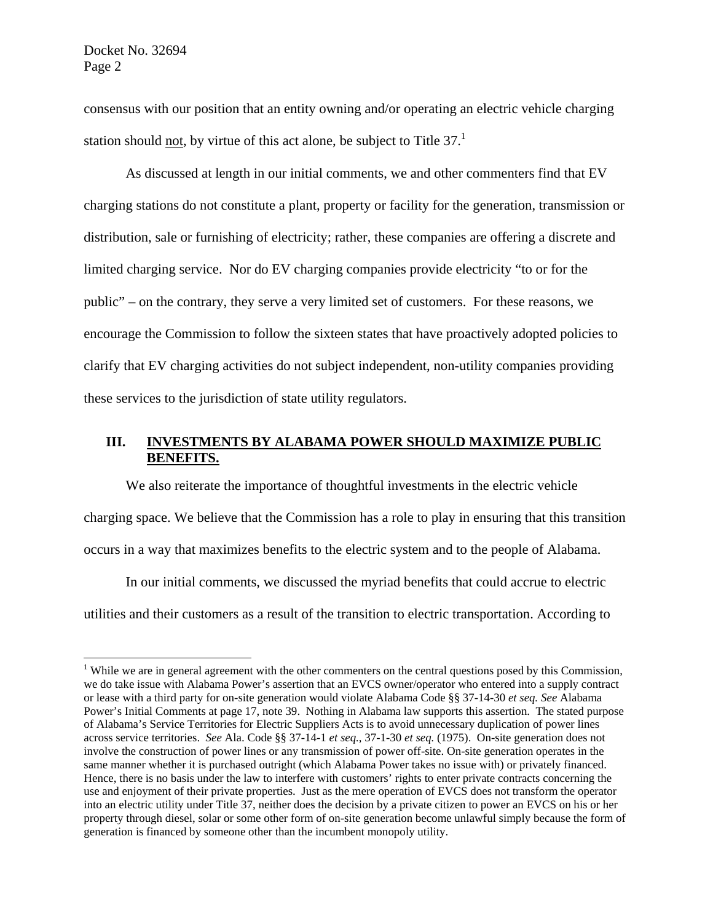consensus with our position that an entity owning and/or operating an electric vehicle charging station should not, by virtue of this act alone, be subject to Title  $37<sup>1</sup>$ 

As discussed at length in our initial comments, we and other commenters find that EV charging stations do not constitute a plant, property or facility for the generation, transmission or distribution, sale or furnishing of electricity; rather, these companies are offering a discrete and limited charging service. Nor do EV charging companies provide electricity "to or for the public" – on the contrary, they serve a very limited set of customers. For these reasons, we encourage the Commission to follow the sixteen states that have proactively adopted policies to clarify that EV charging activities do not subject independent, non-utility companies providing these services to the jurisdiction of state utility regulators.

## **III. INVESTMENTS BY ALABAMA POWER SHOULD MAXIMIZE PUBLIC BENEFITS.**

We also reiterate the importance of thoughtful investments in the electric vehicle charging space. We believe that the Commission has a role to play in ensuring that this transition occurs in a way that maximizes benefits to the electric system and to the people of Alabama.

In our initial comments, we discussed the myriad benefits that could accrue to electric utilities and their customers as a result of the transition to electric transportation. According to

<sup>&</sup>lt;sup>1</sup> While we are in general agreement with the other commenters on the central questions posed by this Commission, we do take issue with Alabama Power's assertion that an EVCS owner/operator who entered into a supply contract or lease with a third party for on-site generation would violate Alabama Code §§ 37-14-30 *et seq. See* Alabama Power's Initial Comments at page 17, note 39. Nothing in Alabama law supports this assertion. The stated purpose of Alabama's Service Territories for Electric Suppliers Acts is to avoid unnecessary duplication of power lines across service territories. *See* Ala. Code §§ 37-14-1 *et seq.*, 37-1-30 *et seq.* (1975). On-site generation does not involve the construction of power lines or any transmission of power off-site. On-site generation operates in the same manner whether it is purchased outright (which Alabama Power takes no issue with) or privately financed. Hence, there is no basis under the law to interfere with customers' rights to enter private contracts concerning the use and enjoyment of their private properties. Just as the mere operation of EVCS does not transform the operator into an electric utility under Title 37, neither does the decision by a private citizen to power an EVCS on his or her property through diesel, solar or some other form of on-site generation become unlawful simply because the form of generation is financed by someone other than the incumbent monopoly utility.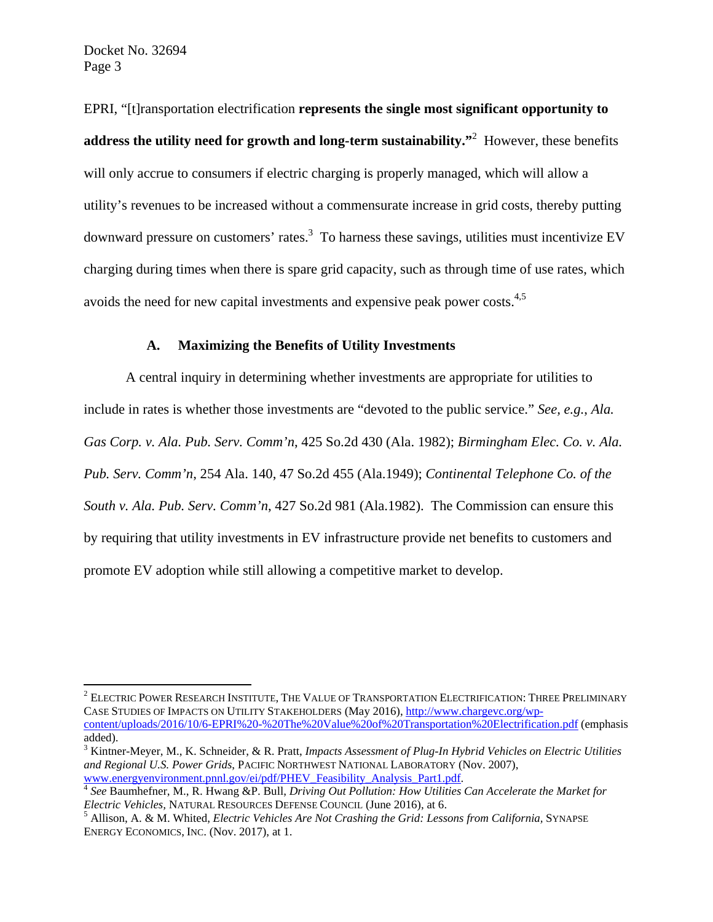Docket No. 32694 Page 3

EPRI, "[t]ransportation electrification **represents the single most significant opportunity to address the utility need for growth and long-term sustainability."**<sup>2</sup> However, these benefits will only accrue to consumers if electric charging is properly managed, which will allow a utility's revenues to be increased without a commensurate increase in grid costs, thereby putting downward pressure on customers' rates.<sup>3</sup> To harness these savings, utilities must incentivize EV charging during times when there is spare grid capacity, such as through time of use rates, which avoids the need for new capital investments and expensive peak power costs.4,5

#### **A. Maximizing the Benefits of Utility Investments**

A central inquiry in determining whether investments are appropriate for utilities to include in rates is whether those investments are "devoted to the public service." *See, e.g.*, *Ala. Gas Corp. v. Ala. Pub. Serv. Comm'n*, 425 So.2d 430 (Ala. 1982); *Birmingham Elec. Co. v. Ala. Pub. Serv. Comm'n*, 254 Ala. 140, 47 So.2d 455 (Ala.1949); *Continental Telephone Co. of the South v. Ala. Pub. Serv. Comm'n*, 427 So.2d 981 (Ala.1982). The Commission can ensure this by requiring that utility investments in EV infrastructure provide net benefits to customers and promote EV adoption while still allowing a competitive market to develop.

 $^2$  Electric Power Research Institute, The Value of Transportation Electrification: Three Preliminary CASE STUDIES OF IMPACTS ON UTILITY STAKEHOLDERS (May 2016), http://www.chargevc.org/wpcontent/uploads/2016/10/6-EPRI%20-%20The%20Value%20of%20Transportation%20Electrification.pdf (emphasis added).

<sup>3</sup> Kintner-Meyer, M., K. Schneider, & R. Pratt, *Impacts Assessment of Plug-In Hybrid Vehicles on Electric Utilities and Regional U.S. Power Grids*, PACIFIC NORTHWEST NATIONAL LABORATORY (Nov. 2007),

www.energyenvironment.pnnl.gov/ei/pdf/PHEV\_Feasibility\_Analysis\_Part1.pdf. 4 *See* Baumhefner, M., R. Hwang &P. Bull, *Driving Out Pollution: How Utilities Can Accelerate the Market for Electric Vehicles, NATURAL RESOURCES DEFENSE COUNCIL (June 2016), at 6.* 

Allison, A. & M. Whited, *Electric Vehicles Are Not Crashing the Grid: Lessons from California,* SYNAPSE ENERGY ECONOMICS, INC. (Nov. 2017), at 1.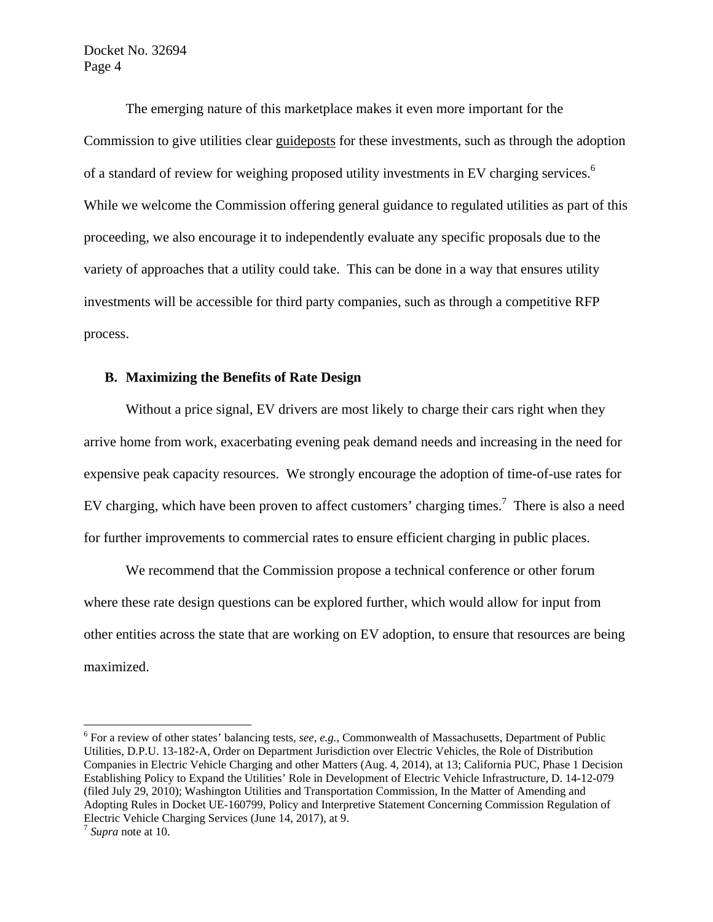Docket No. 32694 Page 4

The emerging nature of this marketplace makes it even more important for the Commission to give utilities clear guideposts for these investments, such as through the adoption of a standard of review for weighing proposed utility investments in EV charging services.<sup>6</sup> While we welcome the Commission offering general guidance to regulated utilities as part of this proceeding, we also encourage it to independently evaluate any specific proposals due to the variety of approaches that a utility could take. This can be done in a way that ensures utility investments will be accessible for third party companies, such as through a competitive RFP process.

### **B. Maximizing the Benefits of Rate Design**

Without a price signal, EV drivers are most likely to charge their cars right when they arrive home from work, exacerbating evening peak demand needs and increasing in the need for expensive peak capacity resources. We strongly encourage the adoption of time-of-use rates for EV charging, which have been proven to affect customers' charging times.<sup>7</sup> There is also a need for further improvements to commercial rates to ensure efficient charging in public places.

We recommend that the Commission propose a technical conference or other forum where these rate design questions can be explored further, which would allow for input from other entities across the state that are working on EV adoption, to ensure that resources are being maximized.

<sup>&</sup>lt;sup>6</sup> For a review of other states' balancing tests, *see, e.g.*, Commonwealth of Massachusetts, Department of Public Utilities, D.P.U. 13-182-A, Order on Department Jurisdiction over Electric Vehicles, the Role of Distribution Companies in Electric Vehicle Charging and other Matters (Aug. 4, 2014), at 13; California PUC, Phase 1 Decision Establishing Policy to Expand the Utilities' Role in Development of Electric Vehicle Infrastructure, D. 14-12-079 (filed July 29, 2010); Washington Utilities and Transportation Commission, In the Matter of Amending and Adopting Rules in Docket UE-160799, Policy and Interpretive Statement Concerning Commission Regulation of Electric Vehicle Charging Services (June 14, 2017), at 9. 7 *Supra* note at 10.